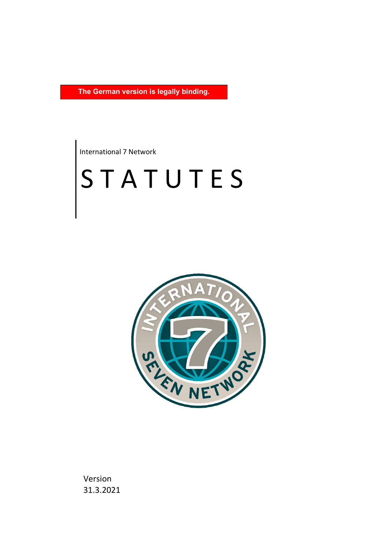**The German version is legally binding.**

International 7 Network

# S T A T U T E S



Version 31.3.2021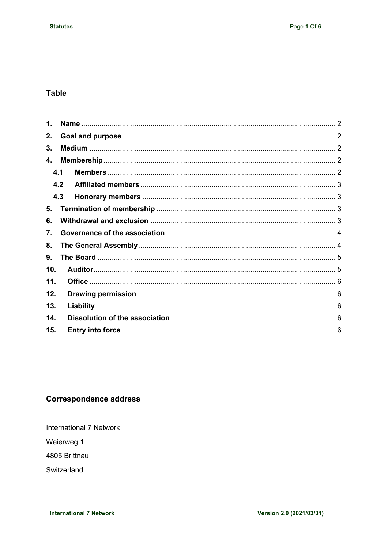## **Table**

| 1.  |     |  |
|-----|-----|--|
| 2.  |     |  |
| 3.  |     |  |
| 4.  |     |  |
|     | 4.1 |  |
|     | 4.2 |  |
|     | 4.3 |  |
| 5.  |     |  |
| 6.  |     |  |
| 7.  |     |  |
| 8.  |     |  |
| 9.  |     |  |
| 10. |     |  |
| 11. |     |  |
| 12. |     |  |
| 13. |     |  |
| 14. |     |  |
| 15. |     |  |

## **Correspondence address**

**International 7 Network** 

Weierweg 1

4805 Brittnau

Switzerland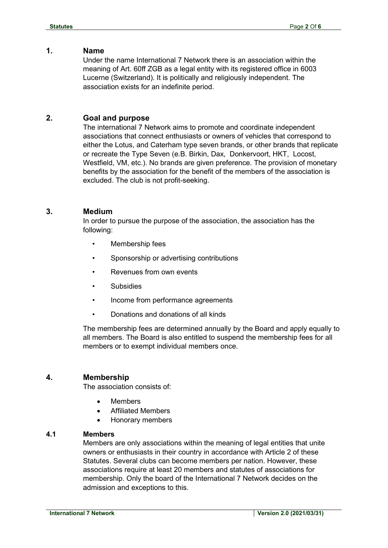#### <span id="page-2-0"></span>**1. Name**

Under the name International 7 Network there is an association within the meaning of Art. 60ff ZGB as a legal entity with its registered office in 6003 Lucerne (Switzerland). It is politically and religiously independent. The association exists for an indefinite period.

## <span id="page-2-1"></span>**2. Goal and purpose**

The international 7 Network aims to promote and coordinate independent associations that connect enthusiasts or owners of vehicles that correspond to either the Lotus, and Caterham type seven brands, or other brands that replicate or recreate the Type Seven (e.B. Birkin, Dax, Donkervoort, HKT, Locost, Westfield, VM, etc.). No brands are given preference. The provision of monetary benefits by the association for the benefit of the members of the association is excluded. The club is not profit-seeking.

## <span id="page-2-2"></span>**3. Medium**

In order to pursue the purpose of the association, the association has the following:

- Membership fees
- Sponsorship or advertising contributions
- Revenues from own events
- **Subsidies**
- Income from performance agreements
- Donations and donations of all kinds

The membership fees are determined annually by the Board and apply equally to all members. The Board is also entitled to suspend the membership fees for all members or to exempt individual members once.

## <span id="page-2-3"></span>**4. Membership**

The association consists of:

- **Members**
- x Affiliated Members
- Honorary members

#### <span id="page-2-4"></span>**4.1 Members**

Members are only associations within the meaning of legal entities that unite owners or enthusiasts in their country in accordance with Article 2 of these Statutes. Several clubs can become members per nation. However, these associations require at least 20 members and statutes of associations for membership. Only the board of the International 7 Network decides on the admission and exceptions to this.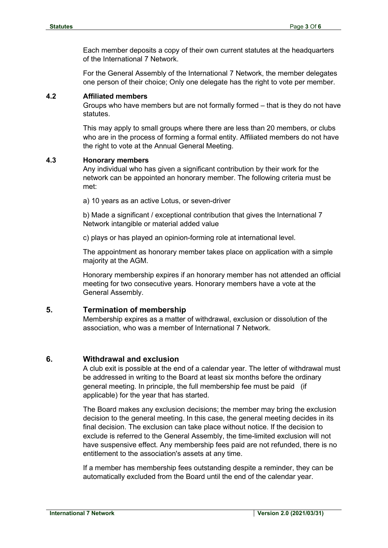Each member deposits a copy of their own current statutes at the headquarters of the International 7 Network.

For the General Assembly of the International 7 Network, the member delegates one person of their choice; Only one delegate has the right to vote per member.

#### <span id="page-3-0"></span>**4.2 Affiliated members**

Groups who have members but are not formally formed – that is they do not have statutes.

This may apply to small groups where there are less than 20 members, or clubs who are in the process of forming a formal entity. Affiliated members do not have the right to vote at the Annual General Meeting.

#### <span id="page-3-1"></span>**4.3 Honorary members**

Any individual who has given a significant contribution by their work for the network can be appointed an honorary member. The following criteria must be met:

a) 10 years as an active Lotus, or seven-driver

b) Made a significant / exceptional contribution that gives the International 7 Network intangible or material added value

c) plays or has played an opinion-forming role at international level.

The appointment as honorary member takes place on application with a simple majority at the AGM.

Honorary membership expires if an honorary member has not attended an official meeting for two consecutive years. Honorary members have a vote at the General Assembly.

#### <span id="page-3-2"></span>**5. Termination of membership**

Membership expires as a matter of withdrawal, exclusion or dissolution of the association, who was a member of International 7 Network.

#### <span id="page-3-3"></span>**6. Withdrawal and exclusion**

A club exit is possible at the end of a calendar year. The letter of withdrawal must be addressed in writing to the Board at least six months before the ordinary general meeting. In principle, the full membership fee must be paid (if applicable) for the year that has started.

The Board makes any exclusion decisions; the member may bring the exclusion decision to the general meeting. In this case, the general meeting decides in its final decision. The exclusion can take place without notice. If the decision to exclude is referred to the General Assembly, the time-limited exclusion will not have suspensive effect. Any membership fees paid are not refunded, there is no entitlement to the association's assets at any time.

If a member has membership fees outstanding despite a reminder, they can be automatically excluded from the Board until the end of the calendar year.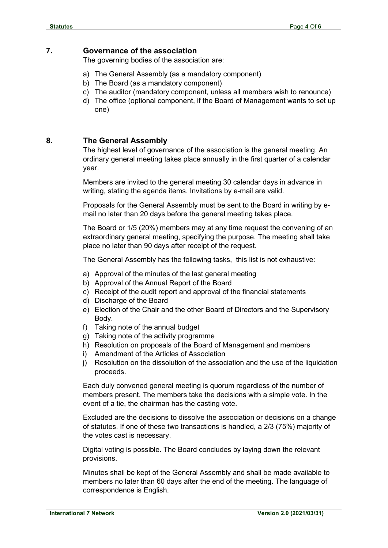### <span id="page-4-0"></span>**7. Governance of the association**

The governing bodies of the association are:

- a) The General Assembly (as a mandatory component)
- b) The Board (as a mandatory component)
- c) The auditor (mandatory component, unless all members wish to renounce)
- d) The office (optional component, if the Board of Management wants to set up one)

## <span id="page-4-1"></span>**8. The General Assembly**

The highest level of governance of the association is the general meeting. An ordinary general meeting takes place annually in the first quarter of a calendar year.

Members are invited to the general meeting 30 calendar days in advance in writing, stating the agenda items. Invitations by e-mail are valid.

Proposals for the General Assembly must be sent to the Board in writing by email no later than 20 days before the general meeting takes place.

The Board or 1/5 (20%) members may at any time request the convening of an extraordinary general meeting, specifying the purpose. The meeting shall take place no later than 90 days after receipt of the request.

The General Assembly has the following tasks, this list is not exhaustive:

- a) Approval of the minutes of the last general meeting
- b) Approval of the Annual Report of the Board
- c) Receipt of the audit report and approval of the financial statements
- d) Discharge of the Board
- e) Election of the Chair and the other Board of Directors and the Supervisory Body.
- f) Taking note of the annual budget
- g) Taking note of the activity programme
- h) Resolution on proposals of the Board of Management and members
- i) Amendment of the Articles of Association
- j) Resolution on the dissolution of the association and the use of the liquidation proceeds.

Each duly convened general meeting is quorum regardless of the number of members present. The members take the decisions with a simple vote. In the event of a tie, the chairman has the casting vote.

Excluded are the decisions to dissolve the association or decisions on a change of statutes. If one of these two transactions is handled, a 2/3 (75%) majority of the votes cast is necessary.

Digital voting is possible. The Board concludes by laying down the relevant provisions.

Minutes shall be kept of the General Assembly and shall be made available to members no later than 60 days after the end of the meeting. The language of correspondence is English.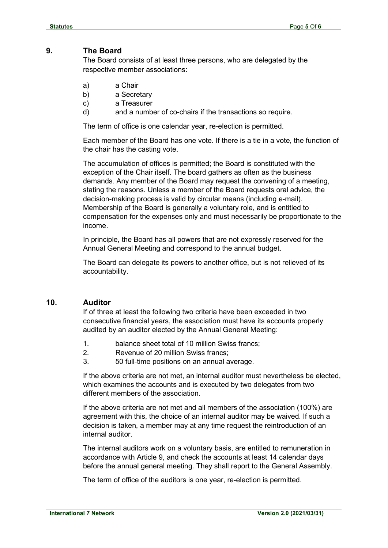## <span id="page-5-0"></span>**9. The Board**

The Board consists of at least three persons, who are delegated by the respective member associations:

- a) a Chair
- b) a Secretary
- c) a Treasurer
- d) and a number of co-chairs if the transactions so require.

The term of office is one calendar year, re-election is permitted.

Each member of the Board has one vote. If there is a tie in a vote, the function of the chair has the casting vote.

The accumulation of offices is permitted; the Board is constituted with the exception of the Chair itself. The board gathers as often as the business demands. Any member of the Board may request the convening of a meeting, stating the reasons. Unless a member of the Board requests oral advice, the decision-making process is valid by circular means (including e-mail). Membership of the Board is generally a voluntary role, and is entitled to compensation for the expenses only and must necessarily be proportionate to the income.

In principle, the Board has all powers that are not expressly reserved for the Annual General Meeting and correspond to the annual budget.

The Board can delegate its powers to another office, but is not relieved of its accountability.

#### <span id="page-5-1"></span>**10. Auditor**

If of three at least the following two criteria have been exceeded in two consecutive financial years, the association must have its accounts properly audited by an auditor elected by the Annual General Meeting:

- 1. balance sheet total of 10 million Swiss francs;
- 2. Revenue of 20 million Swiss francs;
- 3. 50 full-time positions on an annual average.

If the above criteria are not met, an internal auditor must nevertheless be elected, which examines the accounts and is executed by two delegates from two different members of the association.

If the above criteria are not met and all members of the association (100%) are agreement with this, the choice of an internal auditor may be waived. If such a decision is taken, a member may at any time request the reintroduction of an internal auditor.

The internal auditors work on a voluntary basis, are entitled to remuneration in accordance with Article 9, and check the accounts at least 14 calendar days before the annual general meeting. They shall report to the General Assembly.

The term of office of the auditors is one year, re-election is permitted.